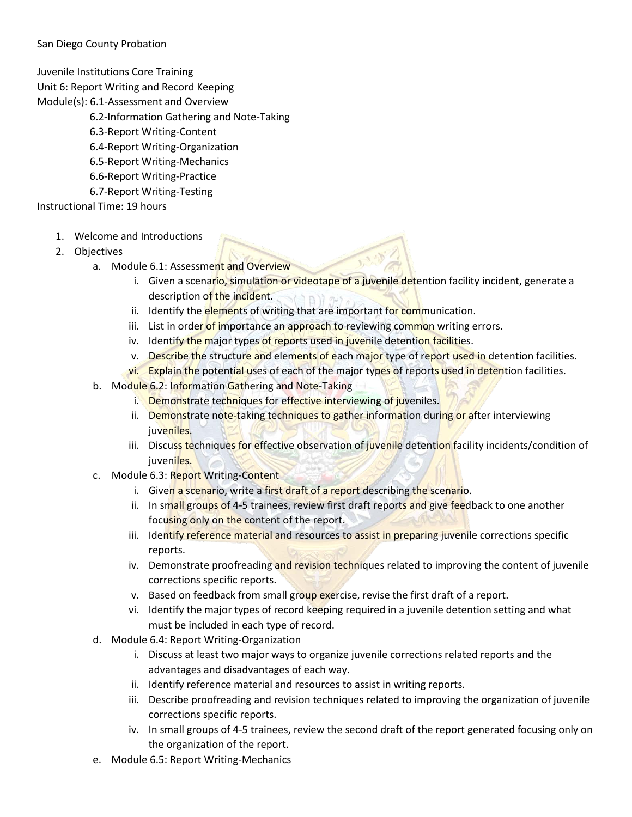## San Diego County Probation

Juvenile Institutions Core Training

Unit 6: Report Writing and Record Keeping

- Module(s): 6.1-Assessment and Overview
	- 6.2-Information Gathering and Note-Taking
	- 6.3-Report Writing-Content
	- 6.4-Report Writing-Organization
	- 6.5-Report Writing-Mechanics
	- 6.6-Report Writing-Practice
	- 6.7-Report Writing-Testing

Instructional Time: 19 hours

- 1. Welcome and Introductions
- 2. Objectives
	- a. Module 6.1: Assessment and Overview
		- i. Given a scenario, simulation or videotape of a juvenile detention facility incident, generate a description of the incident.
		- ii. Identify the elements of writing that are important for communication.
		- iii. List in order of importance an approach to reviewing common writing errors.
		- iv. Identify the major types of reports used in juvenile detention facilities.
		- v. Describe the structure and elements of each major type of report used in detention facilities.
		- vi. Explain the potential uses of each of the major types of reports used in detention facilities.
	- b. Module 6.2: Information Gathering and Note-Taking
		- i. Demonstrate techniques for effective interviewing of juveniles.
		- ii. Demonstrate note-taking techniques to gather information during or after interviewing juveniles.
		- iii. Discuss techniques for effective observation of juvenile detention facility incidents/condition of juveniles.
	- c. Module 6.3: Report Writing-Content
		- i. Given a scenario, write a first draft of a report describing the scenario.
		- ii. In small groups of 4-5 trainees, review first draft reports and give feedback to one another focusing only on the content of the report.
		- iii. Identify reference material and resources to assist in preparing juvenile corrections specific reports.
		- iv. Demonstrate proofreading and revision techniques related to improving the content of juvenile corrections specific reports.
		- v. Based on feedback from small group exercise, revise the first draft of a report.
		- vi. Identify the major types of record keeping required in a juvenile detention setting and what must be included in each type of record.
	- d. Module 6.4: Report Writing-Organization
		- i. Discuss at least two major ways to organize juvenile corrections related reports and the advantages and disadvantages of each way.
		- ii. Identify reference material and resources to assist in writing reports.
		- iii. Describe proofreading and revision techniques related to improving the organization of juvenile corrections specific reports.
		- iv. In small groups of 4-5 trainees, review the second draft of the report generated focusing only on the organization of the report.
	- e. Module 6.5: Report Writing-Mechanics